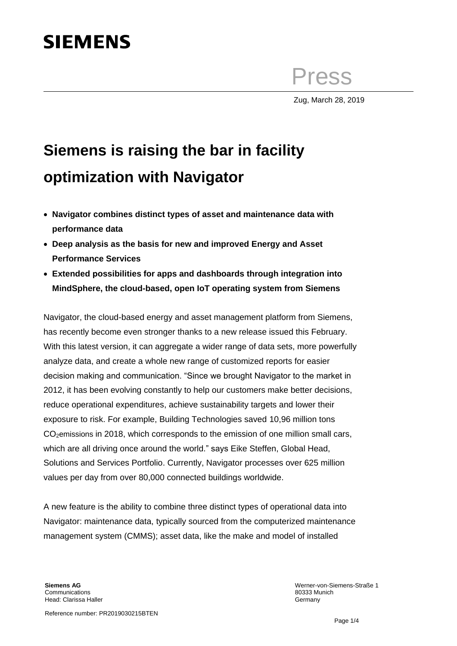# **SIEMENS**

Press

Zug, March 28, 2019

## **Siemens is raising the bar in facility optimization with Navigator**

- **Navigator combines distinct types of asset and maintenance data with performance data**
- **Deep analysis as the basis for new and improved Energy and Asset Performance Services**
- **Extended possibilities for apps and dashboards through integration into MindSphere, the cloud-based, open IoT operating system from Siemens**

Navigator, the cloud-based energy and asset management platform from Siemens, has recently become even stronger thanks to a new release issued this February. With this latest version, it can aggregate a wider range of data sets, more powerfully analyze data, and create a whole new range of customized reports for easier decision making and communication. "Since we brought Navigator to the market in 2012, it has been evolving constantly to help our customers make better decisions, reduce operational expenditures, achieve sustainability targets and lower their exposure to risk. For example, Building Technologies saved 10,96 million tons CO<sub>2</sub>emissions in 2018, which corresponds to the emission of one million small cars, which are all driving once around the world." says Eike Steffen, Global Head, Solutions and Services Portfolio. Currently, Navigator processes over 625 million values per day from over 80,000 connected buildings worldwide.

A new feature is the ability to combine three distinct types of operational data into Navigator: maintenance data, typically sourced from the computerized maintenance management system (CMMS); asset data, like the make and model of installed

**Siemens AG** Communications Head: Clarissa Haller

Reference number: PR2019030215BTEN

Werner-von-Siemens-Straße 1 80333 Munich **Germany**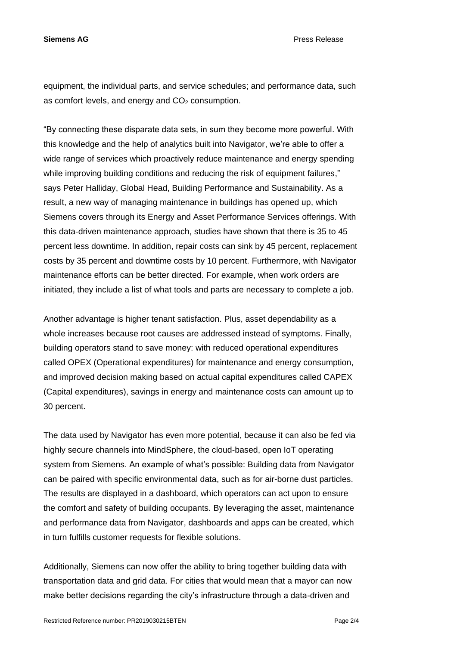**Siemens AG** Press Release

equipment, the individual parts, and service schedules; and performance data, such as comfort levels, and energy and  $CO<sub>2</sub>$  consumption.

"By connecting these disparate data sets, in sum they become more powerful. With this knowledge and the help of analytics built into Navigator, we're able to offer a wide range of services which proactively reduce maintenance and energy spending while improving building conditions and reducing the risk of equipment failures," says Peter Halliday, Global Head, Building Performance and Sustainability. As a result, a new way of managing maintenance in buildings has opened up, which Siemens covers through its Energy and Asset Performance Services offerings. With this data-driven maintenance approach, studies have shown that there is 35 to 45 percent less downtime. In addition, repair costs can sink by 45 percent, replacement costs by 35 percent and downtime costs by 10 percent. Furthermore, with Navigator maintenance efforts can be better directed. For example, when work orders are initiated, they include a list of what tools and parts are necessary to complete a job.

Another advantage is higher tenant satisfaction. Plus, asset dependability as a whole increases because root causes are addressed instead of symptoms. Finally, building operators stand to save money: with reduced operational expenditures called OPEX (Operational expenditures) for maintenance and energy consumption, and improved decision making based on actual capital expenditures called CAPEX (Capital expenditures), savings in energy and maintenance costs can amount up to 30 percent.

The data used by Navigator has even more potential, because it can also be fed via highly secure channels into MindSphere, the cloud-based, open IoT operating system from Siemens. An example of what's possible: Building data from Navigator can be paired with specific environmental data, such as for air-borne dust particles. The results are displayed in a dashboard, which operators can act upon to ensure the comfort and safety of building occupants. By leveraging the asset, maintenance and performance data from Navigator, dashboards and apps can be created, which in turn fulfills customer requests for flexible solutions.

Additionally, Siemens can now offer the ability to bring together building data with transportation data and grid data. For cities that would mean that a mayor can now make better decisions regarding the city's infrastructure through a data-driven and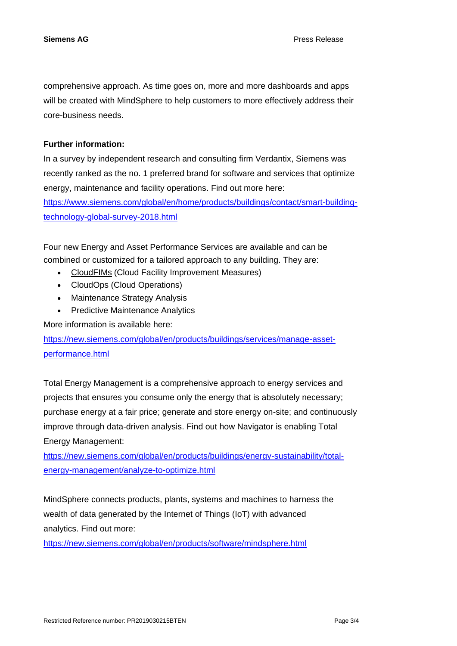comprehensive approach. As time goes on, more and more dashboards and apps will be created with MindSphere to help customers to more effectively address their core-business needs.

## **Further information:**

In a survey by independent research and consulting firm Verdantix, Siemens was recently ranked as the no. 1 preferred brand for software and services that optimize energy, maintenance and facility operations. Find out more here: [https://www.siemens.com/global/en/home/products/buildings/contact/smart-building](https://www.siemens.com/global/en/home/products/buildings/contact/smart-building-technology-global-survey-2018.html)[technology-global-survey-2018.html](https://www.siemens.com/global/en/home/products/buildings/contact/smart-building-technology-global-survey-2018.html)

Four new Energy and Asset Performance Services are available and can be combined or customized for a tailored approach to any building. They are:

- CloudFIMs (Cloud Facility Improvement Measures)
- CloudOps (Cloud Operations)
- Maintenance Strategy Analysis
- Predictive Maintenance Analytics

More information is available here:

[https://new.siemens.com/global/en/products/buildings/services/manage-asset](https://new.siemens.com/global/en/products/buildings/services/manage-asset-performance.html)[performance.html](https://new.siemens.com/global/en/products/buildings/services/manage-asset-performance.html)

Total Energy Management is a comprehensive approach to energy services and projects that ensures you consume only the energy that is absolutely necessary; purchase energy at a fair price; generate and store energy on-site; and continuously improve through data-driven analysis. Find out how Navigator is enabling Total Energy Management:

[https://new.siemens.com/global/en/products/buildings/energy-sustainability/total](https://new.siemens.com/global/en/products/buildings/energy-sustainability/total-energy-management/analyze-to-optimize.html)[energy-management/analyze-to-optimize.html](https://new.siemens.com/global/en/products/buildings/energy-sustainability/total-energy-management/analyze-to-optimize.html)

MindSphere connects products, plants, systems and machines to harness the wealth of data generated by the Internet of Things (IoT) with advanced analytics. Find out more:

<https://new.siemens.com/global/en/products/software/mindsphere.html>